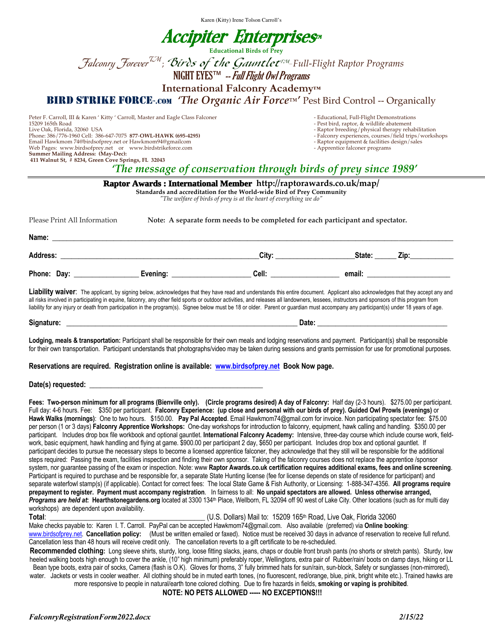Karen (Kitty) Irene Tolson Carroll's

# Accipiter Enterprises¤

**Educational Birds of Prey**

 $\mathcal J$ alconry Forever<sup>TM</sup>; **Birds of the Gauntlet<sup>rm</sup>-Full-Fli**ght Raptor Programs

NIGHT EYES™ -- Full Flight Owl Programs

**International Falconry Academy™**

**BIRD STRIKE FORCE-.com** *'The Organic Air Force™'* Pest Bird Control -- Organically

Peter F. Carroll, III & Karen ' Kitty ' Carroll, Master and Eagle Class Falconer - The Statement - Educational, Full-Flight Demonstrations<br>15209 165th Road - Pest bird, raptor, & wildlife abatement 15209 165th Road - Pest bird, raptor, & wildlife abatement Phone: 386/776-1960 Cell: 386-647-7075 **877**-**OWL-HAWK (695-4295)** - Falconry experiences, courses/field trips/workshops Email Hawkmom 74@birdsofprey.net or Hawkmom94@gmailcom - Raptor equipment & facilities of Media and the State of Media and Media and Media and Media and Media and Media and Media and Media and Media and Media and Media and Web Pages: www.birdsofprey.net or www.birdstrikeforce.com

- 
- Raptor breeding/physical therapy rehabilitation<br>- Falconry experiences, courses/field trips/workshops
- 
- 

**Summer Mailing Address: (May-Dec): 411 Walnut St, # 8234, Green Cove Springs, FL 32043**

*'The message of conservation through birds of prey since 1989'*

| Raptor Awards: International Member http://raptorawards.co.uk/map/<br>Standards and accreditation for the World-wide Bird of Prey Community<br>"The welfare of birds of prey is at the heart of everything we do" |                                                                                 |                                                                                                                                                                                                                                                                                                                                                                                                                                                                                                                                                                       |                      |                                                                                                                 |
|-------------------------------------------------------------------------------------------------------------------------------------------------------------------------------------------------------------------|---------------------------------------------------------------------------------|-----------------------------------------------------------------------------------------------------------------------------------------------------------------------------------------------------------------------------------------------------------------------------------------------------------------------------------------------------------------------------------------------------------------------------------------------------------------------------------------------------------------------------------------------------------------------|----------------------|-----------------------------------------------------------------------------------------------------------------|
| Please Print All Information                                                                                                                                                                                      | Note: A separate form needs to be completed for each participant and spectator. |                                                                                                                                                                                                                                                                                                                                                                                                                                                                                                                                                                       |                      |                                                                                                                 |
|                                                                                                                                                                                                                   |                                                                                 |                                                                                                                                                                                                                                                                                                                                                                                                                                                                                                                                                                       |                      |                                                                                                                 |
|                                                                                                                                                                                                                   |                                                                                 | City: the contract of the contract of the contract of the contract of the contract of the contract of the contract of the contract of the contract of the contract of the contract of the contract of the contract of the cont                                                                                                                                                                                                                                                                                                                                        | State: <b>Access</b> | Zip:                                                                                                            |
|                                                                                                                                                                                                                   |                                                                                 | Cell: __________________                                                                                                                                                                                                                                                                                                                                                                                                                                                                                                                                              |                      | email: when the contract of the contract of the contract of the contract of the contract of the contract of the |
|                                                                                                                                                                                                                   |                                                                                 | Liability waiver: The applicant, by signing below, acknowledges that they have read and understands this entire document. Applicant also acknowledges that they accept any and<br>all risks involved in participating in equine, falconry, any other field sports or outdoor activities, and releases all landowners, lessees, instructors and sponsors of this program from<br>liability for any injury or death from participation in the program(s). Signee below must be 18 or older. Parent or guardian must accompany any participant(s) under 18 years of age. |                      |                                                                                                                 |

**Signature: \_\_\_\_\_\_\_\_\_\_\_\_\_\_\_\_\_\_\_\_\_\_\_\_\_\_\_\_\_\_\_\_\_\_\_\_\_\_\_\_\_\_\_\_\_\_\_\_\_\_\_\_\_\_\_\_\_\_\_\_\_\_\_\_ Date: \_\_\_\_\_\_\_\_\_\_\_\_\_\_\_\_\_\_\_\_\_\_\_\_\_\_\_\_\_\_\_\_\_\_\_\_**

Lodging, meals & transportation: Participant shall be responsible for their own meals and lodging reservations and payment. Participant(s) shall be responsible for their own transportation. Participant understands that photographs/video may be taken during sessions and grants permission for use for promotional purposes.

#### **Reservations are required. Registration online is available: www.birdsofprey.net Book Now page.**

#### Date(s) requested:

÷

**Fees: Two-person minimum for all programs (Bienville only). (Circle programs desired) A day of Falconry:** Half day (2-3 hours). \$275.00 per participant. Full day: 4-6 hours. Fee: \$350 per participant. **Falconry Experience: (up close and personal with our birds of prey). Guided Owl Prowls (evenings)** or **Hawk Walks (mornings)**: One to two hours. \$150.00. **Pay Pal Accepted**. Email Hawkmom74@gmail.com for invoice. Non participating spectator fee: \$75.00 per person (1 or 3 days) **Falconry Apprentice Workshops:** One-day workshops for introduction to falconry, equipment, hawk calling and handling. \$350.00 per participant. Includes drop box file workbook and optional gauntlet. **International Falconry Academy:** Intensive, three-day course which include course work, fieldwork, basic equipment, hawk handling and flying at game. \$900.00 per participant 2 day, \$650 per participant. Includes drop box and optional gauntlet. If participant decides to pursue the necessary steps to become a licensed apprentice falconer, they acknowledge that they still will be responsible for the additional steps required: Passing the exam, facilities inspection and finding their own sponsor. Taking of the falconry courses does not replace the apprentice /sponsor system, nor guarantee passing of the exam or inspection. Note: www **Raptor Awards.co.uk certification requires additional exams, fees and online screening**. Participant is required to purchase and be responsible for, a separate State Hunting license (fee for license depends on state of residence for participant) and separate waterfowl stamp(s) (if applicable). Contact for correct fees: The local State Game & Fish Authority, or Licensing: 1-888-347-4356. **All programs require prepayment to register. Payment must accompany registration**. In fairness to all: **No unpaid spectators are allowed. Unless otherwise arranged,** Programs are held at: Hearthstonegardens.org located at 3300 134<sup>th</sup> Place, Wellborn, FL 32094 off 90 west of Lake City. Other locations (such as for multi day workshops) are dependent upon availability.

**Total**: \_\_\_\_\_\_\_\_\_\_\_\_\_\_\_\_\_\_\_\_\_\_\_\_\_\_\_\_\_\_\_\_\_\_\_\_\_\_\_\_\_\_\_ (U.S. Dollars) Mail to: 15209 165th Road, Live Oak, Florida 32060

Make checks payable to: Karen I. T. Carroll. PayPal can be accepted Hawkmom74@gmail.com. Also available (preferred) via **Online booking**:

www.birdsofprey.net. **Cancellation policy:** (Must be written emailed or faxed). Notice must be received 30 days in advance of reservation to receive full refund. Cancellation less than 48 hours will receive credit only. The cancellation reverts to a gift certificate to be re-scheduled.

**Recommended clothing:** Long sleeve shirts, sturdy, long, loose fitting slacks, jeans, chaps or double front brush pants (no shorts or stretch pants). Sturdy, low heeled walking boots high enough to cover the ankle, (10" high minimum) preferably roper, Wellingtons, extra pair of Rubber/rain/ boots on damp days, hiking or LL Bean type boots, extra pair of socks, Camera (flash is O.K). Gloves for thorns, 3" fully brimmed hats for sun/rain, sun-block, Safety or sunglasses (non-mirrored), water. Jackets or vests in cooler weather. All clothing should be in muted earth tones, (no fluorescent, red/orange, blue, pink, bright white etc.). Trained hawks are

more responsive to people in natural/earth tone colored clothing. Due to fire hazards in fields, **smoking or vaping is prohibited**. **NOTE: NO PETS ALLOWED ----- NO EXCEPTIONS!!!**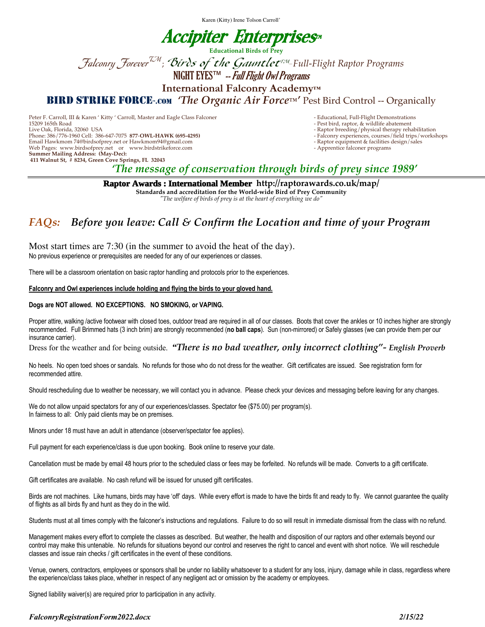Karen (Kitty) Irene Tolson Carroll'

# Accipiter Enterprises¤

**Educational Birds of Prey**

 $\mathcal J$ alconry Forever<sup>TM</sup>; **Birds of the Gauntlet<sup>rm</sup>-Full-Fli**ght Raptor Programs

NIGHT EYES™ -- Full Flight Owl Programs

**International Falconry Academy™**

**BIRD STRIKE FORCE-.com** *'The Organic Air Force™'* Pest Bird Control -- Organically

Peter F. Carroll, III & Karen ' Kitty ' Carroll, Master and Eagle Class Falconer - Peter - Educational, Full-Flight Demonstrations<br>15209 165th Road - Pest bird, raptor, & wildlife abatement 15209 165th Road - Pest bird, raptor, & wildlife abatement Phone: 386/776-1960 Cell: 386-647-7075 **877**-**OWL-HAWK (695-4295)** - Falconry experiences, courses/field trips/workshops Email Hawkmom 74@birdsofprey.net or Hawkmom94@gmail.com - Raptor equipment & facilities of the state of the state of the state of the state of the state of the state of the state of the state of the state of the state of t Web Pages: www.birdsofprey.net or www.birdstrikeforce.com **Summer Mailing Address: (May-Dec): 411 Walnut St, # 8234, Green Cove Springs, FL 32043**

- 
- Raptor breeding/physical therapy rehabilitation<br>- Falconry experiences, courses/field trips/workshops
- 
- 

*'The message of conservation through birds of prey since 1989'*

**Raptor Awards : International Member http://raptorawards.co.uk/map/**

**Standards and accreditation for the World-wide Bird of Prey Community**

*"The welfare of birds of prey is at the heart of everything we do"*

## *FAQs: Before you leave: Call & Confirm the Location and time of your Program*

Most start times are 7:30 (in the summer to avoid the heat of the day). No previous experience or prerequisites are needed for any of our experiences or classes.

There will be a classroom orientation on basic raptor handling and protocols prior to the experiences.

#### **Falconry and Owl experiences include holding and flying the birds to your gloved hand.**

#### **Dogs are NOT allowed. NO EXCEPTIONS. NO SMOKING, or VAPING.**

Proper attire, walking /active footwear with closed toes, outdoor tread are required in all of our classes. Boots that cover the ankles or 10 inches higher are strongly recommended. Full Brimmed hats (3 inch brim) are strongly recommended (**no ball caps**). Sun (non-mirrored) or Safely glasses (we can provide them per our insurance carrier).

Dress for the weather and for being outside. *"There is no bad weather, only incorrect clothing"- English Proverb*

No heels. No open toed shoes or sandals. No refunds for those who do not dress for the weather. Gift certificates are issued. See registration form for recommended attire.

Should rescheduling due to weather be necessary, we will contact you in advance. Please check your devices and messaging before leaving for any changes.

We do not allow unpaid spectators for any of our experiences/classes. Spectator fee (\$75.00) per program(s). In fairness to all: Only paid clients may be on premises.

Minors under 18 must have an adult in attendance (observer/spectator fee applies).

Full payment for each experience/class is due upon booking. Book online to reserve your date.

Cancellation must be made by email 48 hours prior to the scheduled class or fees may be forfeited. No refunds will be made. Converts to a gift certificate.

Gift certificates are available. No cash refund will be issued for unused gift certificates.

Birds are not machines. Like humans, birds may have 'off' days. While every effort is made to have the birds fit and ready to fly. We cannot guarantee the quality of flights as all birds fly and hunt as they do in the wild.

Students must at all times comply with the falconer's instructions and regulations. Failure to do so will result in immediate dismissal from the class with no refund.

Management makes every effort to complete the classes as described. But weather, the health and disposition of our raptors and other externals beyond our control may make this untenable. No refunds for situations beyond our control and reserves the right to cancel and event with short notice. We will reschedule classes and issue rain checks / gift certificates in the event of these conditions.

Venue, owners, contractors, employees or sponsors shall be under no liability whatsoever to a student for any loss, injury, damage while in class, regardless where the experience/class takes place, whether in respect of any negligent act or omission by the academy or employees.

Signed liability waiver(s) are required prior to participation in any activity.

### *FalconryRegistrationForm2022.docx 2/15/22*